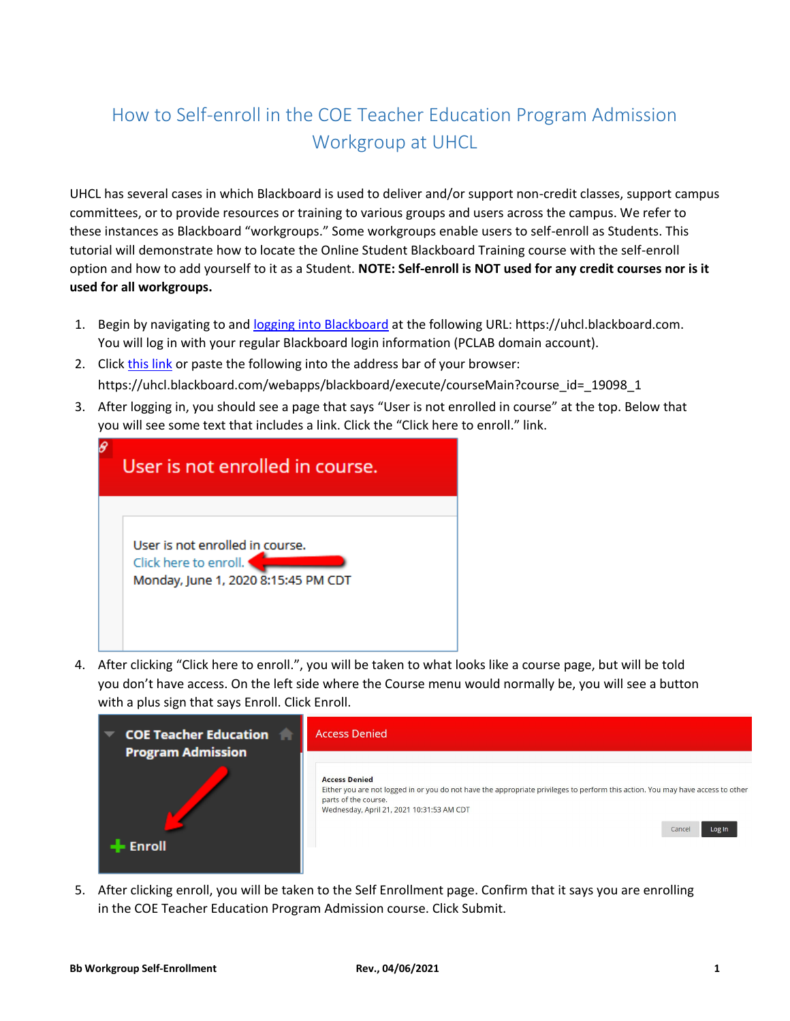## How to Self-enroll in the COE Teacher Education Program Admission Workgroup at UHCL

UHCL has several cases in which Blackboard is used to deliver and/or support non-credit classes, support campus committees, or to provide resources or training to various groups and users across the campus. We refer to these instances as Blackboard "workgroups." Some workgroups enable users to self-enroll as Students. This tutorial will demonstrate how to locate the Online Student Blackboard Training course with the self-enroll option and how to add yourself to it as a Student. **NOTE: Self-enroll is NOT used for any credit courses nor is it used for all workgroups.**

- 1. Begin by navigating to an[d logging into Blackboard](https://uhcl.blackboard.com/webapps/blackboard/execute/courseMain?course_id=_19098_1) at the following URL: https://uhcl.blackboard.com. You will log in with your regular Blackboard login information (PCLAB domain account).
- 2. Click [this link](https://uhcl.blackboard.com/webapps/blackboard/execute/courseMain?course_id=_19098_1) or paste the following into the address bar of your browser: https://uhcl.blackboard.com/webapps/blackboard/execute/courseMain?course\_id=\_19098\_1
- 3. After logging in, you should see a page that says "User is not enrolled in course" at the top. Below that you will see some text that includes a link. Click the "Click here to enroll." link.

| User is not enrolled in course.                                                                 |
|-------------------------------------------------------------------------------------------------|
| User is not enrolled in course.<br>Click here to enroll.<br>Monday, June 1, 2020 8:15:45 PM CDT |

4. After clicking "Click here to enroll.", you will be taken to what looks like a course page, but will be told you don't have access. On the left side where the Course menu would normally be, you will see a button with a plus sign that says Enroll. Click Enroll.



5. After clicking enroll, you will be taken to the Self Enrollment page. Confirm that it says you are enrolling in the COE Teacher Education Program Admission course. Click Submit.